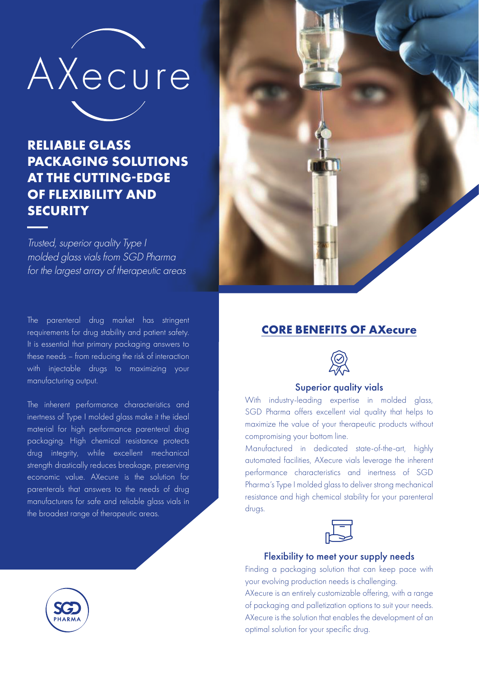

## **RELIABLE GLASS PACKAGING SOLUTIONS AT THE CUTTING-EDGE OF FLEXIBILITY AND SECURITY**

Trusted, superior quality Type I molded glass vials from SGD Pharma for the largest array of therapeutic areas

The parenteral drug market has stringent requirements for drug stability and patient safety. It is essential that primary packaging answers to these needs – from reducing the risk of interaction with injectable drugs to maximizing your manufacturing output.

The inherent performance characteristics and inertness of Type I molded glass make it the ideal material for high performance parenteral drug packaging. High chemical resistance protects drug integrity, while excellent mechanical strength drastically reduces breakage, preserving economic value. AXecure is the solution for parenterals that answers to the needs of drug manufacturers for safe and reliable glass vials in the broadest range of therapeutic areas.



### **CORE BENEFITS OF AXecure**



#### Superior quality vials

With industry-leading expertise in molded glass, SGD Pharma offers excellent vial quality that helps to maximize the value of your therapeutic products without compromising your bottom line.

Manufactured in dedicated state-of-the-art, highly automated facilities, AXecure vials leverage the inherent performance characteristics and inertness of SGD Pharma's Type I molded glass to deliver strong mechanical resistance and high chemical stability for your parenteral drugs.



#### Flexibility to meet your supply needs

Finding a packaging solution that can keep pace with your evolving production needs is challenging.

AXecure is an entirely customizable offering, with a range of packaging and palletization options to suit your needs. AXecure is the solution that enables the development of an optimal solution for your specific drug.